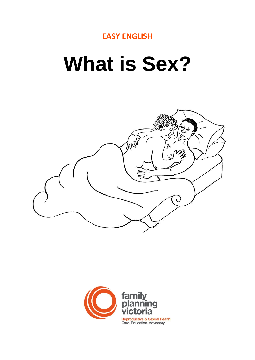

# **What is Sex?**



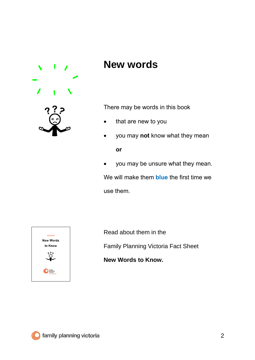

### **New words**

There may be words in this book

- that are new to you
- you may **not** know what they mean **or**
- you may be unsure what they mean. We will make them **blue** the first time we use them.



Read about them in the

Family Planning Victoria Fact Sheet

**New Words to Know.**

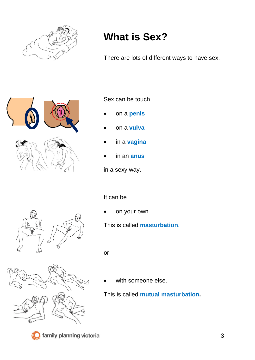

## **What is Sex?**

There are lots of different ways to have sex.



#### Sex can be touch

- on a **penis**
- on a **vulva**
- in a **vagina**
- in an **anus**

in a sexy way.

#### It can be

on your own.

This is called **masturbation**.

or



with someone else.

This is called **mutual masturbation.**



family planning victoria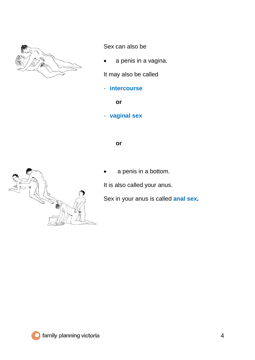

Sex can also be

a penis in a vagina.

It may also be called

- **intercourse**

**or** 

- **vaginal sex**

**or**

a penis in a bottom.

It is also called your anus.

Sex in your anus is called **anal sex.**

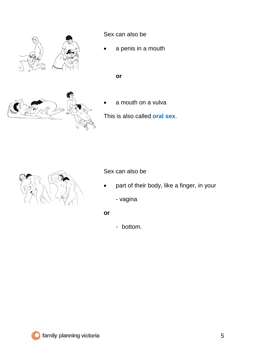

Sex can also be

a penis in a mouth

**or**



a mouth on a vulva

This is also called **oral sex**.



Sex can also be

- part of their body, like a finger, in your
	- vagina
- **or**
- bottom.

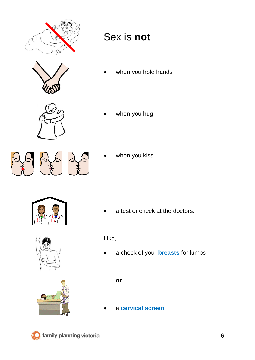





when you hold hands



when you hug

when you kiss.



a test or check at the doctors.





- Like,
- a check of your **breasts** for lumps

**or**

• a **cervical screen**.

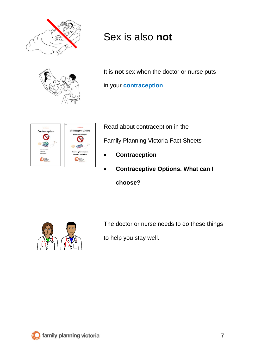

## Sex is also **not**



It is **not** sex when the doctor or nurse puts in your **contraception**.



Read about contraception in the Family Planning Victoria Fact Sheets

- **Contraception**
- **Contraceptive Options. What can I choose?**



The doctor or nurse needs to do these things to help you stay well.

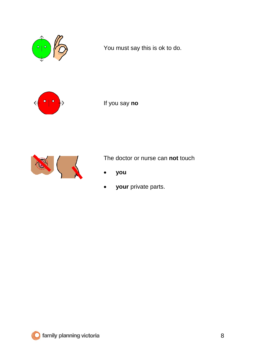

You must say this is ok to do.



If you say **no**



The doctor or nurse can **not** touch

- **you**
- **your** private parts.